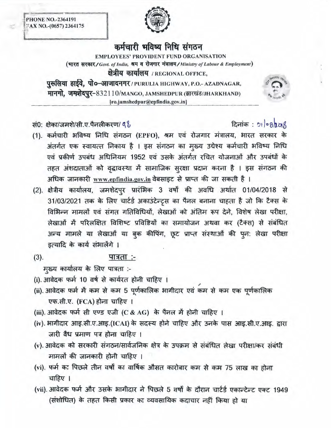**PHONE NO.-2364191** FAX NO.-(0657) 2364175



## कर्मचारी भविष्य निधि संगठन

**EMPLOYEES' PROVIDENT FUND ORGANISATION** (भारत सरकार/Govt. of India, श्रम व रोजगार मंत्रालय/Ministry of Labour & Employment) क्षेत्रीय कार्यालय / REGIONAL OFFICE,

पुरुलिया हाईवे, पो०-आजादनगर/PURULIA HIGHWAY, P.O.- AZADNAGAR, मानगो, जमशेदपुर-832110/MANGO, JAMSHEDPUR (झारखंड/JHARKHAND) [ro.jamshedpur@epfindia.gov.in]

सं0: क्षेका/जमशे/सी.ए.पैनलीकरण/ ९१

## दिनांक: 21/08/2018

- (1). कर्मचारी भविष्य निधि संगठन (EPFO), श्रम एवं रोजगार मंत्रालय, भारत सरकार के अंतर्गत एक स्वायत्त निकाय है । इस संगठन का मुख्य उद्येश्य कर्मचारी भविष्य निधि एवं प्रकीर्ण उपबंध अधिनियम 1952 एवं उसके अंतर्गत रचित योजनाओं और उपबंधों के तहत अंशदाताओं को वृद्धावस्था में सामाजिक सुरक्षा प्रदान करना है । इस संगठन की अधिक जानकारी www.epfindia.gov.in वेबसाइट से प्राप्त की जा सकती है ।
- (2). क्षेत्रीय कार्यालय, जमशेदपुर प्रारंभिक 3 वर्षों की अवधि अर्थात 01/04/2018 से 31/03/2021 तक के लिए चार्टर्ड अकाउंटेन्ट्र्स का पैनल बनाना चाहता है जो कि टैक्स के विभिन्न मामलों एवं संगत गतिविधियों, लेखाओं को अंतिम रूप देने, विशेष लेखा परीक्षा, लेखाओं में परिलक्षित विशिष्ट प्रविष्टियों का समायोजन अथवा कर (टैक्स) से संबंधित अन्य मामले या लेखाओं या बुक कीपिंग, छूट प्राप्त संस्थाओं की पून: लेखा परीक्षा इत्यादि के कार्य संभालेंगे ।
- $(3).$ पात्रता :-

मुख्य कार्यालय के लिए पात्रता :-

- (i). आवेदक फर्म 10 वर्ष से कार्यरत होनी चाहिए ।
- (ii). आवेदक फर्म में कम से कम 5 पूर्णकालिक भागीदार एवं कम से कम एक पूर्णकालिक एफ.सी.ए. (FCA) होना चाहिए ।
- (iii). आवेदक फर्म सी एण्ड एजी (C & AG) के पैनल में होनी चाहिए ।
- (iv). भागीदार आइ.सी.ए.आइ.(ICAI) के सदस्य होने चाहिए और उनके पास आइ.सी.ए.आइ. द्वारा जारी वैध प्रमाण पत्र होना चाहिए ।
- (v) आवेदक को सरकारी संगठन/सार्वजनिक क्षेत्र के उपक्रम से संबंधित लेखा परीक्षा/कर संबंधी मामलों की जानकारी होनी चाहिए ।
- (vi). फर्म का पिछले तीन वर्षों का वार्षिक औसत कारोबार कम से कम 75 लाख का होना चाहिए ।
- (vii). आवेदक फर्म और उसके भागीदार ने पिछले 5 वर्षों के दौरान चार्टर्ड एकान्टेन्ट एक्ट 1949 (संशोधित) के तहत किसी प्रकार का व्यवसायिक कदाचार नहीं किया हो या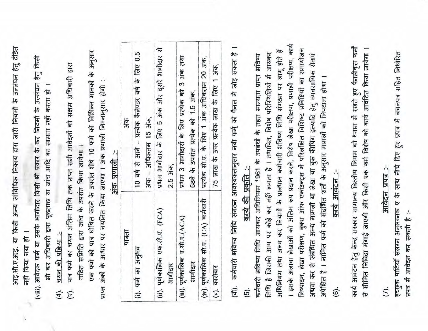आइ.सी.ए.आइ. या किसी अन्य सांविधिक निकाय द्वारा जारी नियमों के उल्लंघन हेतु दंडित नहीं किया गया हो ।

(viii). आवेदक फर्म या उसके भागीदार किसी भी प्रकार के कर नियमों के उल्लंघन हेतु किसी भी कर अधिकारी द्वारा पूछताछ या जांच आदि का सामना नहीं करता हो ।

चयन की प्रक्रिया :- $(4).$  पात्र फर्म का चयन अंतिम तिथि तक प्राप्त सभी आवेदनों को सक्षम अधिकारी द्वारा गठित समिति द्वारा जांच के उपरांत किया जायेगा ।  $(\overline{v})$ .

एक फर्म को पात्र घोषित करने के उपरांत शीर्ष 10 फर्म को विभिन्न मानकों के अनुसार प्राप्त अंकों के आधार पर चयनित किया जाएगा । अंक प्रणाली निम्नानुसार होगी :-

| THELL                                       | अंक                                                                                    |
|---------------------------------------------|----------------------------------------------------------------------------------------|
| (i) फर्म का अनुभव                           | 10 可食 市 可以 Teleお おおす - html + fele co.5<br>अंक – अधिकतम 15 अंक,                        |
| (iii). पूर्णकालिक एफ.सी.ए. (FCA)<br>भागीदार | प्रथम भागीदार के लिए 5 अंक और दूसरे भागीदार से<br>2.5 अंक,                             |
| (iii). पूर्णकालिक ए.सी.ए.(ACA)<br>आगीदार    | प्रथम 3 भागीदारों के लिए प्रत्येक को 3 अंक तथा<br>6ठवें के उपरांत प्रत्येक को 1.5 अंक, |
| (iv). पूर्णकालिक सी.ए. (CA) कर्मचारी        | प्रत्येक सी.ए. के लिए 1 अंक अधिकतम 20 अंक,                                             |
| $(v)$ . कारोबार                             | 75 लाख के उपर प्रत्येक लाख के लिए 1 अंक,                                               |

अंक प्रणाली :-

कर्मचारी भविष्य निधि संगठन आवश्यकतानुसार नयी फर्म को पैनल में जोड़ सकता है कार्य की प्रकृति :-खि 6

कार्य निष्पादन, लेखा परीक्षण, बुक्स ऑफ एकांउन्ट्स में परिलक्षित विशिष्ट प्रविष्टियों का समायोजन अधिनियम तथा अन्य कर नियमों के प्रावधान कर्मचारी भविष्य निधि संगठन पर लागू होते हैं निधि है जिसकी आय पर कोई कर नहीं लगता है । तथापित, विशेष परिस्थितियों में आयकर अथवा कर से संबंधित अन्य मामलों या लेखा या बुक कीपिंग इत्यादि हेतु व्यवसायिक सेवाएं कर्मचारी भविष्य निधि आयकर अधिनियम 1961 के उपबंधों के तहत मान्यता प्राप्त भविष्य । इसके अलावा लेखाओं को अंतिम रूप प्रदान करने, विशेष लेखा परीक्षण, प्रणाली परीक्षण, अपेक्षित है । नामित फर्म को संदर्भित शर्तों के अनुसार मामर्ज़ को चिपटाना होगा । कार्य आवंटन :-

 $\overline{6}$ ).

कार्य आवंटन हेतु केन्द्र सरकार सामान्य वित्तीय नियम को ध्यान में रखते हुए पैनलीकृत फर्मों से सीमित निविदा मंगाई जाएगी और किसी एक फर्म विशेष को कार्य आवंटित किया जायेगा ।

 $\overline{C}$ .

आवेदन प्रपत्र :-

इच्छुक पार्टियाँ संलग्न अनुलग्नक ए के साथ नौचे दिए हुए प्रपत्र में बचनपत्र सहित निर्धारित प्रपत्र में आवेदन कर सकती है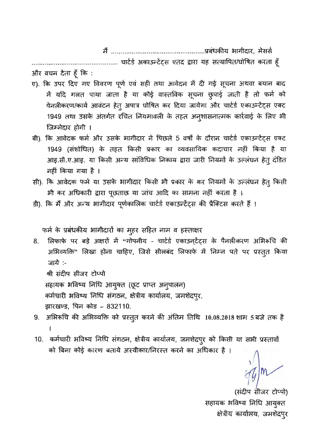................................. चार्टर्ड अकाऊन्टेंट्स एतद द्वारा यह सत्यापित/घोषित करता हूँ और वचन देता हूँ कि :

- ए). कि उपर दिए गए विवरण पूर्ण एवं सही तथा आवेदन में दी गई सूचना अथवा बयान बाद में यदि गलत पाया जाता है या कोई वास्तविक सूचना छुपाई जाती है तो फर्म को पेनलीकरण/कार्य आवंटन हेतु अपात्र घोषित कर दिया जायेगा और चार्टर्ड एकाउन्टेंट्स एक्ट 1949 तथा उसके अंतर्गत रचित नियमावली के तहत अनुशासनात्मक कार्रवाई के लिए भी जिम्मेदार होगी ।
- बी). कि आवेदक फर्म और उसके भागीदार ने पिछले 5 वर्षों के दौरान चार्टर्ड एकाउन्टेंट्स एक्ट 1949 (संशोधित) के तहत किसी प्रकार का व्यवसायिक कदाचार नहीं किया है या आइ.सी.ए.आइ. या किसी अन्य सांविधिक निकाय द्वारा जारी नियमों के उल्लंघन हेतू दंडित नहीं किया गया है ।
- सी). कि आवेदक फर्म या उसके भागीदार किसी भी प्रकार के कर नियमों के उल्लंघन हेतु किसी भी कर अधिकारी द्वारा पूछताछ या जांच आदि का सामना नहीं करता है।
- डी). कि मैं और अन्य भागीदार पूर्णकालिक चार्टर्ड एकाउन्टेंट्स की प्रैक्टिस करते हैं ।

फर्म के प्रबंधकीय भागीदारों का मुहर सहित नाम व हस्ताक्षर

8. लिफाफे पर बड़े अक्षरों में "गोपनीय - चार्टर्ड एकाउन्टेंट्स के पैनलीकरण अभिरूचि की अभिव्यक्ति" लिखा होना चाहिए, जिसे सीलबंद लिफाफे में निम्न पते पर प्रस्तुत किया जाये :-

श्री संदीप सीजर टोप्पो

सहायक भविष्य निधि आयुक्त (छूट प्राप्त अनुपालन)

कर्मचारी भविष्य निधि संगठन, क्षेत्रीय कार्यालय, जमशेदपुर,

झारखण्ड, पिन कोड – 832110.

- 9. अभिरूचि की अभिव्यक्ति को प्रस्तुत करने की अंतिम तिथि 10.08.2018 शाम 5 बजे तक है
- 10. कर्मचारी भविष्य निधि संगठन, क्षेत्रीय कार्यालय, जमशेदपुर को किसी या सभी प्रस्तावों को बिना कोई कारण बताये अस्वीकार/निरस्त करने का अधिकार है ।

(सदीप सीजर टोप्पो) सहायक भविष्य निधि आयुक्त क्षेत्रीय कार्यालय, जमशेदपुर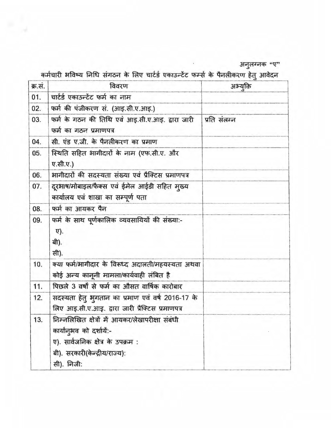| क्र.सं. | विवरण                                                | अभ्युक्ति    |  |  |
|---------|------------------------------------------------------|--------------|--|--|
| 01.     | चार्टर्ड एकाउन्टेंट फर्म का नाम                      |              |  |  |
| 02.     | फर्म की पंजीकरण सं. (आइ.सी.ए.आइ.)                    |              |  |  |
| 03.     | फर्म के गठन की तिथि एवं आइ.सी.ए.आइ. द्वारा जारी      | प्रति संलग्न |  |  |
|         | फर्म का गठन प्रमाणपत्र                               |              |  |  |
| 04.     | सी. एंड ए.जी. के पैनलीकरण का प्रमाण                  |              |  |  |
| 05.     | स्थिति सहित भागीदारों के नाम (एफ.सी.ए. और            |              |  |  |
|         | ए.सी.ए.)                                             |              |  |  |
| 06.     | भागीदारों की सदस्यता संख्या एवं प्रैक्टिस प्रमाणपत्र |              |  |  |
| 07.     | दूरभाष/मोबाइल/फैक्स एवं ईमेल आईडी सहित मुख्य         |              |  |  |
|         | कार्यालय एवं शाखा का सम्पूर्ण पता                    |              |  |  |
| 08.     | फर्म का आयकर पैन                                     |              |  |  |
| 09.     | फर्म के साथ पूर्णकालिक व्यवसायियों की संख्या:-       |              |  |  |
|         | <b>v</b> ).                                          |              |  |  |
|         | बी).                                                 |              |  |  |
|         | सी).                                                 |              |  |  |
| 10.     | क्या फर्म/भागीदार के विरूध्द अदालती/महयस्यता अथवा    |              |  |  |
|         | कोई अन्य कानूनी मामला/कार्यवाही लंबित है             |              |  |  |
| 11.     | पिछले 3 वर्षों से फर्म का औसत वार्षिक कारोबार        |              |  |  |
| 12.     | सदस्यता हेतू भुगतान का प्रमाण एवं वर्ष 2016-17 के    |              |  |  |
|         | लिए आइ.सी.ए.आइ. द्वारा जारी प्रैक्टिस प्रमाणपत्र     |              |  |  |
| 13.     | निम्नलिखित क्षेत्रों में आयकर/लेखापरीक्षा संबंधी     |              |  |  |
|         | कार्यानुभव को दर्शायें:-                             |              |  |  |
|         | ए). सार्वजनिक क्षेत्र के उपक्रम :                    |              |  |  |
|         | बी). सरकारी(केन्द्रीय/राज्य):                        |              |  |  |
|         | सी). निजी:                                           |              |  |  |

ंग्ण अनुलग्नक "ए<br>कर्मचारी भविष्य निधि संगठन के लिए चार्टर्ड एकाउन्टेंट फर्म्स के पैनलीकरण हेतु आवेदन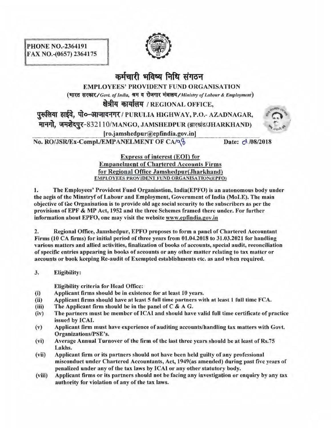

## कर्मचारी भविष्य निधि संगठन EMPLOYEES' PROVIDENT FUND ORGANISATION (भारत सरकार/Govt. of India, श्रम व रोजगार मंत्रालय/Ministry of Labour & Employment) क्षेत्रीय कार्यालय / REGIONAL OFFICE, पुरूलिया हाईवे, पो०-आजादनगर / PURULIA HIGHWAY, P.O.- AZADNAGAR, मानगो, जमशेदपुर-832110/MANGO, JAMSHEDPUR (झारखंड/JHARKHAND) [ ro.jamshedpur@epfindia.gov .in] No. RO/JSR/Ex-Compl./EMPANELMENT OF CA/Q Date:  $\circ\sqrt{08/2018}$



Express of interest (EOI) for Empanelment of Chartered Accounts Firms for Regional Office Jamshedpur(Jharkhand) EMPLOYEES PROVIDENT FUND ORGANISATION(EPFO)

I. The Employees' Provident Fund Organisation, lndia(EPFO) is an autonomous body under the aegis of the Minstryf of Labour and Employment, Government of India (MoLE). The main objective of lite Organisation is to provide old age social security to the subscribers as per the provisions of EPF & MP Act, 1952 and the three Schemes framed there under. For further information about EPFO, one may visit the website www.epfindia.gov.in

2. Regional Office, Jamshedpur, EPFO proposes to form a panel of Chartered Accountant Firms (10 CA firms) for initial period of three years from 01.04.2018 to 31.03.2021 for handling various matters and allied activities, finalization of books of accounts, special audit, reconciliation of specific entries appearing in books of accounts or any other matter relating to tax matter or accounts or book keeping Re-audit of Exempted establishments etc. as and when required.

3. Eligibility:

Eligibility criteria for Head Office:

- (i) Applicant firms should be in existence for at least 10 years.
- (ii) Applicant firms should have at least 5 full time partners with at least 1 full time FCA.
- (iii) The Applicant firm should be in the panel of  $C \& A G$ .
- (iv) The partners must be member of ICAI and should have valid full time certificate of practice issued by ICAI.
- (v) Applicant firm must have experience of auditing accounts/handling tax matters with Govt. Organizations/PSE's.
- (vi) Average Annual Turnover of the firm of the last three years should be at least of Rs. 75 Lakhs.
- (vii) Applicant firm or its partners should not have been held guilty of any prnfessional misconduct under Chartered Accountants, Act, 1949(as amended) during past five years of penalized under any of the tax laws by ICAl or any other statutory body.
- (viii) Applicant firms or its partners should not be facing any investigation or enquiry by any tax authority for violation of any of the tax laws.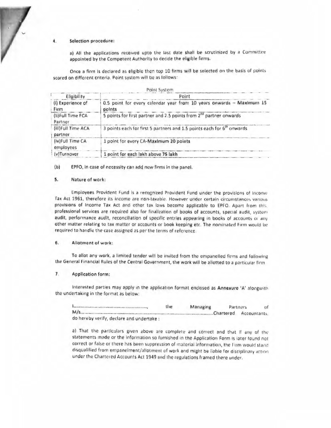### Selection procedure:

a) All the applications received upto the last date shall be scrutinized by a Committee appointed by the Competent Authority to decide the eligible firms.

Once a firm is declared as eligible then top 10 firms will be selected on the basis of points scored on different criteria. Point system will be as follows:

|                                                                                                                     | Point System                                                                    |  |  |  |  |
|---------------------------------------------------------------------------------------------------------------------|---------------------------------------------------------------------------------|--|--|--|--|
| Eligibility                                                                                                         | Point                                                                           |  |  |  |  |
| (I) Experience of<br>Firm                                                                                           | 0.5 point for every calendar year from 10 years onwards -- Maximum 15<br>points |  |  |  |  |
| (II)Full Time FCA<br>Partner                                                                                        | 5 points for first partner and 2.5 points from 2 <sup>nd</sup> partner onwards  |  |  |  |  |
| 3 points each for first 5 partners and 1.5 points each for 6 <sup>th</sup> onwards<br>(ill)Full Time ACA<br>partner |                                                                                 |  |  |  |  |
| (iv)Full Time CA<br>employees                                                                                       | 1 point for every CA-Maximum 20 points                                          |  |  |  |  |
| (v)Turnover                                                                                                         | 1 point for each lakh above 75 lakh                                             |  |  |  |  |

 $(b)$ EPFO, in case of necessity can add new firms in the panel.

#### Nature of work: 5.

Employees Provident Fund is a recognized Provident Fund under the provisions of Income Tax Act 1961, therefore its income are non-taxable. However under certain circumstances various provisions of Income Tax Act and other tax laws become applicable to EPFO. Apart from this, professional services are required also for finalization of books of accounts, special audit, system audit, performance audit, reconciliation of specific entries appearing in books of accounts or any other matter relating to tax matter or accounts or book keeping etc. The nominated Firm would be required to handle the case assigned as per the terms of reference.

#### 6. Allotment of work:

To allot any work, a limited tender will be invited from the empanelled firms and following the General Financial Rules of the Central Government, the work will be allotted to a particular firm

#### 7. Application form:

Interested parties may apply in the application format enclosed as Annexure 'A' alongwith the undertaking in the format as below:

|                                           | the | Managing | Partners |              |  |
|-------------------------------------------|-----|----------|----------|--------------|--|
|                                           |     |          |          | Accountants. |  |
| do hereby verify, declare and undertake : |     |          |          |              |  |

a) That the particulars given above are complete and correct and that if any of the statements made or the information so furnished in the Application Form is later found not correct or false or there has been suppression of material information, the Firm would stand disqualified from empanelment/allotment of work and might be liable for disciplinary action under the Chartered Accounts Act 1949 and the regulations framed there under.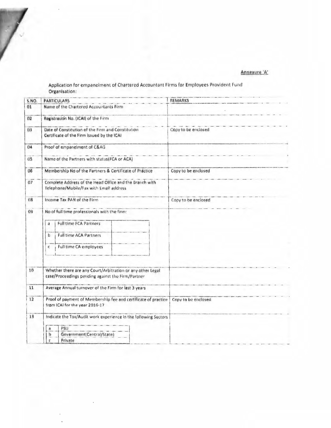Annexure 'A'

# Application for empanelment of Chartered Accountant Firms for Employees Provident Fund<br>Organisation:

| <b>S.NO.</b> | <b>PARTICULARS</b>                                                                                                                                                          | <b>REMARKS</b>      |
|--------------|-----------------------------------------------------------------------------------------------------------------------------------------------------------------------------|---------------------|
| 01           | Name of the Chartered Accountants Firm                                                                                                                                      |                     |
| 02           | Registration No. (ICAI) of the Firm                                                                                                                                         |                     |
| 03           | Date of Constitution of the Firm and Constitution<br>Certificate of the Firm issued by the ICAI                                                                             | Copy to be enclosed |
| 04           | Proof of empanelment of C&AG                                                                                                                                                |                     |
| 05           | Name of the Partners with status(FCA or ACA)                                                                                                                                |                     |
| 06           | Membership No of the Partners & Certificate of Práctice                                                                                                                     | Copy to be enclosed |
| 07           | Complete Address of the Head Office and the Branch with<br>Telephone/Mobile/Fax with Email address                                                                          |                     |
| 08           | Income Tax PAN of the Firm                                                                                                                                                  | Copy to be enclosed |
| 09           | No of full time professionals with the firm:<br><b>Full time FCA Partners</b><br>a<br><b>Full time ACA Partners</b><br>$b$<br><b>Full time CA employees</b><br>$\mathbb{C}$ |                     |
| 10           | Whether there are any Court/Arbitration or any other Legal<br>case/Proceedings pending against the Firm/Partner                                                             |                     |
| 11           | Average Annual turnover of the Firm for last 3 years                                                                                                                        |                     |
| 12           | Proof of payment of Membership fee and certificate of practice<br>from ICAI for the year 2016-17                                                                            | Copy to be enclosed |
| 13           | Indicate the Tax/Audit work experience in the following Sectors<br>PSU<br>$\mathbf{a}$<br>Government(Central/State)<br>b<br>Private                                         |                     |